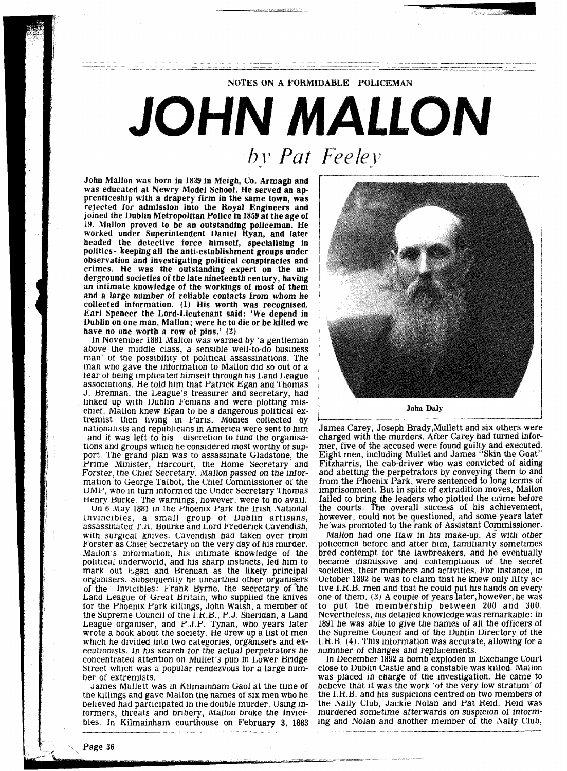## JOHN MALLON by Pat Feeley

NOTES ON A FORMIDABLE POLICEMAN

John Mallon was born in **1839** in Meigh, Co. Armagh and was educated at Newry Model School. He served an apprenticeship with a drapery firm in the same town, was rejected for admission into the Hoyal Engineers and joined the Dublin Metropolitan Police in **1859** at the age of **19.** Mallon proved to be an outstanding policeman. **He**  worked under Superintendent Uaniel Hyan, and later headed the detective force himself, specialising in politics - keeping all the anti-establishment groups under observation and investigating political conspiracies and crimes. He was the outstanding expert on the underground societies of the late nineteenth century, having an intimate knowledge of the workings of most of them and a large number of reliable contacts from whom he collected information. **(1)** His worth was recognised. Earl Spencer the Lord-Lieutenant said: **'We** depend in 1)ublin on one man, Mallon; were he to die or be killed we have no one worth a row of pins.' **(2)** 

In November 1881 Mallon was warned by 'a gentleman above the middle class, a senslble well-to-do business man' of the possibility of political assassinations. The man who gave the information to Mallon did so out of a fear of being implicated himself through his Land League associations. He told him that Patrick Egan and Thomas J. Brennan, the League's treasurer and secretary, had linked up with Uublin Fenians and were plotting mischief. Mallon knew Egan to be a dangerous political extremist then living in Paris. Monies collected by nationalists and republicans in America were sent to him<br>and it was left to his discretion to fund the organisations and groups which he considered most worthy of support. 'l'he grand plan was to assasslnate Gladstone, the Prime Minister, Harcourt, the Home Secretary and Forster, the Chief Secretary. Mailon passed on the information to George Talbot, the Chief Commissioner of the UMP, who in turn lntormed the Under Secretary 'l'homas Henry Burke. The warnings, however, were to no avail.

On 6 May 1881 in the Phoenix Park the Irish National lnvlnclbles, a small group ot Dublln artisans, assassinated T.H. Bourke and Lord Frederick Cavendish, with surgical knives. Cavendish had taken over from k'orster as Chief Secretary on the very day ot his murder. Mallon's information, his intimate knowledge of the political underworld, and his sharp instincts, led him to mark out Egan and Brennan as the likely principal organisers. Subsequently he unearthed other organisers of the lnvicibles: Frank Byrne, the secretary of the Land League of Great Britain, who supplied the knives tor the Phoenix Park kllllngs, John Walsh, a member ot the Supreme Council of the I.R.B., P.J. Sheridan, a Land League organiser, and P.J.P. 'l'ynan, who years later wrote a book about the society. He drew up a list of men which he divided into two categories, organisers and executionists. In his search for the actual perpetrators he concentrated attention on Mullet's pub in Lower Bridge Street which was a popular rendezvous for a large number of extremists.

James Mullett was in Kilmainham Gaol at the time of the killings and gave Mallon the names of six men who he belleved had participated in the double murder. Using Informers, threats and bribery, Mallon broke the Invicibles. In Kilmainham courthouse on February 3, 1883



James Carey, Joseph Brady,Mullett and six others were charged with the murders. After Carey had turned informer, five of the accused were found guilty and executed. Eight men, including Mullet and James "Skin the Goat" Fitzharris, the cab-driver who was convicted of aiding and abetting the perpetrators by conveying them to and from the Phoenix Park, were sentenced to long terms of imprisonment. But in spite of extradition moves, Mallon failed to bring the leaders who plotted the crime before the courts. The overall success of his achievement, however, could not be questioned, and some years later he was promoted to the rank of Assistant Commissioner.

Mallon had one tlaw In hls make-up. **AS** wlth other policemen before and after him, familiarity sometimes bred contempt for the lawbreakers, and he eventually became dismissive and contemptuous of the secret societies, their members and activities. For instance, in October **1892** he was to claim that he knew only htty active 1.H.B. men and that he could put his hands on every one ot them. **(3) A** couple ot years later,however, he was to put the membershlp between **200** and **YOU.**  Nevertheless, his detailed knowledge was remarkable: in 1891 he was able to give the names of all the officers of the Supreme Council and ot the Uublin Directory ot the 1.R.B. (4). This information was accurate, allowing for a numnber of changes and replacements.

In December **1892** a bomb exploded in Kxchange Court close to Dublin Castle and a constable was killed. Mallon was placed in charge ot the investigation. He came to believe that it was the work 'ot the very low stratum' ot the 1.K.B. and hls susplclons centred on two members ot the Nally Club, Jackie Nolan and Pat Held. Held was murdered sometlme atterwards on suspicion ot intorming and Nolan and another member of the Nally Club,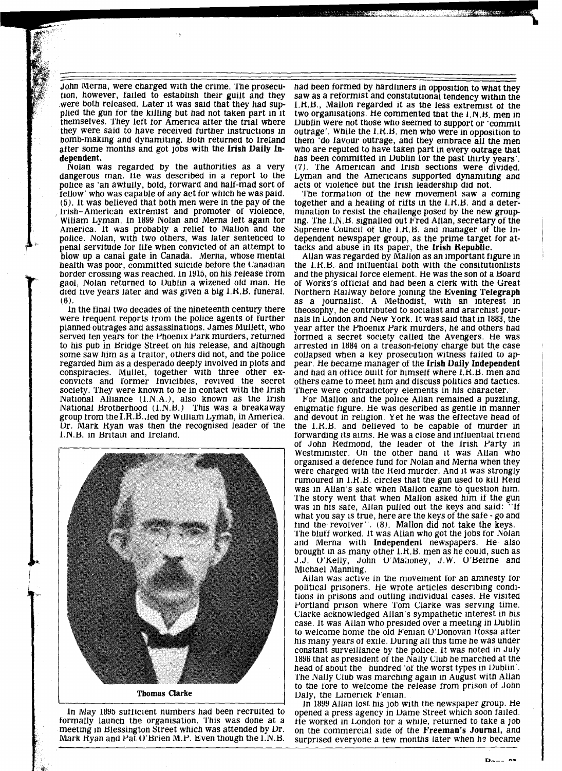John Merna, were charged wlth the crime. 'l'he prosecution, however, failed to establish their guilt and they were both released. Later it was said that they had supplied the gun for the killing but had not taken part in it themselves. They left for America after the trial where they were said to have received turther instructions in bomb-making and dynamlting. Both returned to lreland after some months and got jobs with the Irish Daily Independent.<br>Nolan was regarded by the authorities as a very

dangerous man. He was described in a report to the police as 'an awtully, bold, torward and halt-mad sort ot  $(5)$ . It was believed that both men were in the pay of the Irish-American extremist and promoter ot Violence, Wiliam Lyman. In 1899 Nolan and Merna left again for America. It was probably a relief to Mallon and the police. Nolan, with two others, was later sentenced to penal servitude tor lite when convicted ot an attempt to blow up a canal gate in Canada. Merna, whose mental health was poor, committed suicide before the Canadian border crossing was reached. In 1915, on his release from gaol, Nolan returned to Uublin a wizened old man. He died tive years later and was given a big I.H.B. tuneral. (6).

In the tinal two decades ot the nineteenth century there were trequent reports trom the police agents of further planned outrages and assassinations. James Mullett, who served ten years tor the Phoenix Park murders, returned to his pub in Bridge Street on his release, and although some saw him as a traitor, others did not, and the police regarded him as a desperado deeply involved in plots and conspiracies. Mullet, together with three other exconvicts and tormer lnvicibles, revived the secret society. They were known to be in contact with the Irish National Alliance (1.N.A.), also known as the lrish National Brotherhood  $(1.N.B.)$  This was a breakaway group trom theI.R.B..led by William Lyman, in America. Ur. Mark Hyan was then the recognised leader of the 1.N.B. in Britain and Ireland.



formally launch the organisation. This was done at a meeting in Blessington Street which was attended by Dr. Mark Hyan and Pat  $U'$ Brien M.P. Even though the 1.N.B. had been tormed by hardliners in opposition to what they saw as a reformist and constitutional tendency within the I.H.B., Mallon regarded it as the less extrermst ot the two organisations. He commented that the I.N.B. men in Uublin were not those who seemed to support or 'commit outrage'. While the I.R.B. men who were in opposition to them 'do tavour outrage, and they embrace all the men who are reputed to have taken part in every outrage that has been committed in Dublin for the past thirty years'. (7). 'l'he AmerlCan and lrish sections were divided. Lyman and the Americans supported dynamiting and acts of violence but the Irish leadership did not.

**AND CONSTRUCTION** 

'l'he tormatlon ot the new movement saw a coming together and a healing ot ritts in the 1.H.B. and a determination to resist the challenge posed by the new group-<br>ing. The 1.N.B. signalled out Fred Allan, secretary of the Supreme Council ot the 1.H.B. and manager ot the Independent newspaper group, as the prime target for attacks and abuse in its paper, the Irish Republic.

Allan was regarded by Mallon as an important figure in the 1.H.B. and lntluential both with the consitutionlists and the physical torce element. He was the son ot a Board ot Works's otticial and had been a clerk with the Great Northern Railway before joining the Evening Telegraph as a journalist. A Methodist, with an interest in theosophy, he contributed to socialist and ararchist journals in London and New York. It was said that in 1883, the year atter the Phoenix Park murders, he and others had tormed a secret society called the Avengers. He was arrested in 1884 on a treason-felony charge but the case collapsed when a key prosecution witness tailed to ap pear. He became manager of the Irish Daily Independent and had an office built for himself where l.K.B. men and others came to meet him and discuss pohtics and tactics. 'I'here were contradictory elements in his character.

For Mallon and the police Allan remained a puzzling, enigmatic figure. He was described as gentle in manner and devout in religion. Yet he was the ettective head ot the 1.H.B. and believed to be capable ot murder in torwarding its aims. He was a close and lntluential triend of John Redmond, the leader of the Irish Party in Westminister. On the other hand it was Allan who organised a detence tund tor Nolan and Merna when they were charged with the Held murder, And it was strongly rumoured in 1.K.B. circles that the gun used to lull Heid was in Allan's sate when Mallon came to question him. The story went that when Mallon asked him if the gun was in his safe, Allan pulled out the keys and said: "If what you say is true, here are the keys of the safe - go and find the revolver". (8). Mallon did not take the keys. The bluff worked. It was Allan who got the jobs for Nolan and Merna with Independent newspapers. He also brought in as many other 1.H.B. men as he could, such as J.J. O'Kelly, John O'Mahoney, J.W. O'Beirne and Mlchael Manning.

Allan was active in the movement tor an amnesty tor political prisoners. He wrote articles describing conditions in prisons and outling individual cases. He visited Portland prison where Tom Clarke was serving time. Clarke acknowledged Allan's sympathetic interest in his case. It was Allan who presided over a meeting in Dublin to welcome home the old Fenian O'Donovan Rossa after his many years ot exile. Uuring all this time he was under constant surveillance by the police. It was noted in July 1896 that as president of the Nally Club he marched at the head of about the hundred 'of the worst types in Dublin'. The Nally Club was marching again in August with Allan to the tore to welcome the release trom prison ot John Daly, the Limerick Fenian.

In 1899 Allan lost his job wlth the newspaper group. He opened a press agency in Dame Street which soon failed. He worked in London tor a while, returned to take a job on the commercial side ot the Freeman's Journal, and surprised everyone a few months later when he became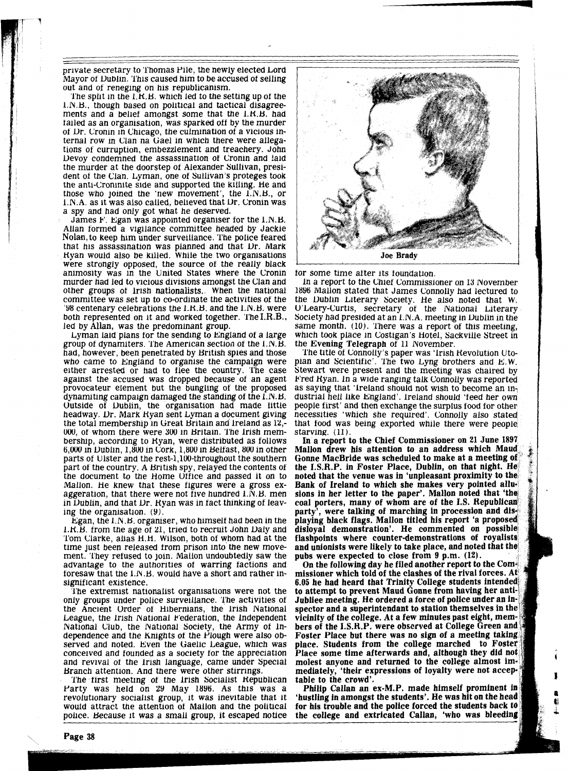private secretary to 'I'homas Pile, the newly elected Lord out and of reneging on his republicanism.<br>The split in the  $1, H, B$ , which led to the setting up of the

I.N.B., though based on political and tactical disagreements and a beliet amongst some that the 1.H.B. had tailed as an organisation, was sparked ott by the murder of Dr. Cronin in Chicago, the culmination of a vicious in-<br>ternal row in Clan na Gael in which there were allegations of curruption, embezzlement and treachery. John Devoy condemned the assassination of Cronin and laid<br>the murder at the doorstep of Alexander Sullivan, president of the Clan. Lyman, one of Sullivan's proteges took the anti-Croninlte side and supported the killing. He and those who jolned the 'new movement', the I.N.B., or I.N.A. as it was also called, believed that Dr. Cronin was a spy and had only got what he deserved.

James F. Egan was appointed organiser for the I.N.B. Allan tormed a vigilance committee headed by Jackie Nolan, to keep him under surveillance. The police feared that his assassination was planned and that Dr. Mark<br>Ryan would also be killed. While the two organisations were strongly opposed, the source of the really black animoslty was in the Unlted States where the Cronin murder had led to vlcious divisions amongst the Clan and other groups of Irish nationalists. When the national commttee was set up to co-ordinate the activities ot the  $'$ 98 centenary celebrations the  $1.K.B.$  and the  $1.N.B.$  were both represented on it and worked together. The I.R.B., led by Allan, was the predominant group.

Lyman laid plans for the sending to England of a large group of dynamiters. The American section of the I.N.B. had, however, been penetrated by British spies and those who came to England to organise the campaign were either arrested or had to tlee the country. 'l'he case against the accused was dropped because of an agent provocateur element but the bungling of the proposed dynamiting campaign damaged the standing of the I.N.B. Outside of Dublin, the organisation had made little headway. Dr. Mark Ryan sent Lyman a document giving the total membership in Great Britain and Ireland as 12,-000, ot whom there were 300 In Brltain. 'l'he lrish membershlp, according to Hyan, were distributed as tollows 6,000 in Uubhn, 1,800 in Cork, 1,800 in Beltast, 800 in other parts ot Ulster and the rest-1,100-throughout the southern part ot the country. A British spy, relayed the contents ot the document to the Home Utilce and passed it on to Mallon. He knew that these figures were a gross exaggeration, that there were not five hundred  $1.\overline{N}$ . B. men in Dublin, and that Dr. Ryan was in fact thinking of leaving the organisation.  $(9)$ .

Egan, the 1.N.H. orgamser, who himselt had been in the 1.H.B. from the age ot 21, tried to recrult John Ualy and Tom Clarke, allas H.H. Wilson, both of whom had at the time just been released from prison Into the new movement. 'l'hey retused to join. Mallon undoubtedly saw the advantage to the authorities of warring factions and toresaw that the 1.N.B. would have a short and rather insignificant existence.

'l'he extremist nationalist organlsatlons were not the only groups under police surveillance. The activities of the Ancient Urder ot Hibernians, the lrish National League, the lrish National Federation, the independent National Club, the National Society, the Army of Independence and the Knights of the Plough were also observed and noted. Even the Gaelic League, which was conceived and founded as a society for the appreciation and revival of the Irish language, came under Special Branch attention. And there were other stirrings. The tirst meeting of the Irish Socialist Hepublican

Party was held on 29 May 1896. As this was a revolutionary socialist group, it was inevitable that it would attract the attention ot Mallon and the political police. Because it was a small group, it escaped notice



tor some time atter its toundation.

In a report to the Chiet Commissioner on 13 November 1896 Mallon stated that James Connolly had lectured to the Uubhn Literary Society. He also noted that W. U'Leary-Curtis, secretary of the National Literary Society had presided at an 1.N.A. meeting in Dublin in the same month. (10). There was a report of this meeting, which took place in Costigan's Hotel, Sackville Street in the Evening Telegraph of 11 November.

The title of Connolly's paper was 'Irish Revolution Utopian and Scientific'. The two Lyng brothers and E.W. Stewart were present and the meeting was chaired by Fred Ryan. In a wide ranging talk Connolly was reported as saying that 'Ireland should not wish to become an industrial hell like England'. Ireland should 'feed her own people first' and then exchange the surplus food for other necessities 'which she required'. Connolly also stated that food was being exported while there were people<br>starving. (11).<br>In a report to the Chief Commissioner on 21 June 1897

Mallon drew his attention to an address which Maud Gonne MacBride was scheduled to make at a meeting of the I.S.R.P. in Foster Place, Dublin, on that night. He noted that the venue was in 'unpleasant proximity to the Bank of Ireland to which she makes very pointed allusions in her letter to the paper'. Mallon noted that 'the coal porters, many of whom are of the I.S. Republican party', were talking of marching in procession and displaying black flags. Mallon titled his report 'a proposed disloyal demonstration'. He commented on possible flashpoints where counter-demonstrations of royalists and unionists were likely to take place, and noted that the pubs were expected to close from 9 p.m. (12).

On the following day he filed another report to the Commissioner which told of the clashes of the rival forces. At 6.05 he had heard that Trinity College students intended to attempt to prevent Maud Gonne from having her anti-Jubliee meeting. He ordered a force of police under an inspector and a superintendant to station themselves in the vicinity of the college. At a few minutes past eight, members of the I.S.R.P. were observed at College Green and Foster Place but there was no sign of a meeting taking place. Students from the college marched to Foster Place some time afterwards and, although they did not molest anyone and returned to the college almost immediately, 'their expressions of loyalty were not acceptable to the crowd'.

Philip Callan an ex-M.P. made himself prominent in 'hustling in amongst the students'. He was hit on the head for his trouble and the police forced the students back to the college and extricated Callan, 'who was bleeding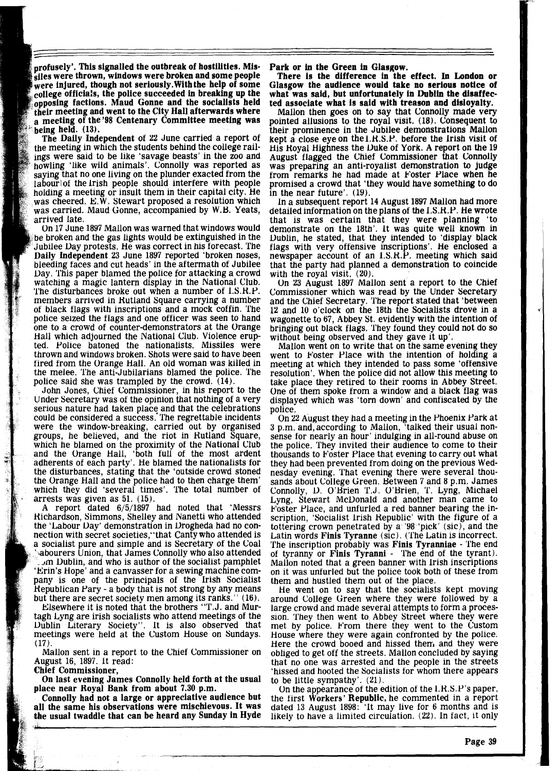profusely'. This signalled the outbreak of hostilities. Missiles were thrown, windows were broken and some people were injured, though not seriously. With the help of some college officials, the police succeeded in breaking up the opposing factions. Maud Gonne and the socialists held their meeting and went to the City Hall afterwards where a meeting of the '98 Centenary Committee meeting was being held. (13).

The Daily Independent of 22 June carried a report of the meeting in which the students behind the college railings were said to be like 'savage beasts' in the zoo and howling 'like wild animals'. Connolly was reported as saying that no one living on the plunder exacted from the labour of the Irish people should interfere with people holding a meeting or insult them in their capital city. He was cheered.  $E.W.$  Stewart proposed a resolution which was carried. Maud Gonne, accompanied by W.B. Yeats, arrived late.

Daily Independent 23 June 1897 reported 'broken noses, bleeding faces and cut heads' in the aftermath of Jubilee Uay. This paper blamed the police for attacking a crowd watching a magic lantern display in the National Club. The disturbances broke out when a number of I.S.R.P. members arrived in Hutland Square carrying a number of black flags with inscriptions and a mock coffin. The police seized the flags and one officer was seen to hand one to a crowd of counter-demonstrators at the Orange Hall which adjourned the National Club. Violence erup-<br>ted. Police batoned the nationalists. Missiles were thrown and windows broken. Shots were said to have been fired from the Orange Hall. An old woman was killed in the melee. The anti-Jubilarians blamed the police. The police said she was trampled by the crowd. (14). 1897 Mallon was warned that windows would be broken and the gas lights would be extinguished in the Jubilee Day protests. He was correct in his forecast. The

John Jones, Chief Commissioner, in his report to the Under Secretary was of the opinion that nothing of a very serious nature had taken place and that the celebrations could be considered a success. The regrettable incidents were the window-breaking, carried out by organised groups, he believed, and the riot in Hutland Square, which he blamed on the proximity of the National Club and the Orange Hall, 'both full of the most ardent adherents of each party'. He blamed the nationalists for the disturbances, stating that the 'outside crowd stoned<br>the Orange Hall and the police had to then charge them' which they did 'several times'. The total number of arrests was given as 51. (15).

A report dated 6/5/1897 had noted that 'Messrs Hichardson, Simmons, Shelley and Nanetti who attended the 'Labour Uay' demonstration in Urogheda had no connection with secret societies,"that Canty who attended is a socialist pure and simple and is Secretary of the Coal abourers Union, that James Connolly who also attended  $\mathbb C$  om Dublin, and who is author of the socialist pamphlet rinin's Hope' and a canvasser for a sewing machine company is one of the principals of the Irish Socialist Hepublican Pary - a body that is not strong by any means but there are secret society men among its ranks." (16).

Elsewhere it is noted that the brothers "T.J. and Murtagh Lyng are irish socialists who attend meetings of the Uublin Literary Society". It is also observed that meetings were held at the Custom House on Sundays.  $(17)$ .

Mallon sent in a report to the Chief Commissioner on **August 16. 1897.** It read:

**Chief Commissioner,** 

ă.

On last evening James Connolly held forth at the usual place near Royal Bank from about 7.30 p.m.

Connolly had not a large or appreciative audience but all the same his observations were mischievous. It was

Park or in the Green in Glasgow. There is the difference in the effect. In London or Glasgow the audience would take no serious notice of what was said, but unfortunately in Dublin the disaffected associate what is said with treason and disloyalty.

Mallon then goes on to say that Connolly made very pointed allusions to the royal visit.  $(18)$ . Consequent to their prominence in the Jubilee demonstrations Mallon kept a close eye on the 1.H.S.P. before the lrish visit of His Hoyal Highness the Duke of York. **A** report on the 19 August flagged the Chief Commissioner that Connolly was preparing an anti-royalist demonstration to judge from remarks he had made at Foster Place when he promised a crowd that 'they would have something to do in the near future'. (19).

In a subsequent report 14 August 1897 Mallon had more detailed information on the plans of the I.S.H.P. He wrote that is was certain that they were planning 'to demonstrate on the 18th'. It was quite well known in Uublin, he stated, that they intended to 'display black flags with very offensive inscriptions'. He enclosed a newspaper account of an I.S.R.P. meeting which said that the party had planned a demonstration to coincide

with the royal visit. (20).<br>On 23 August 1897 Mallon sent a report to the Chief Commissioner which was read by the Under Secretary and the Chief Secretary. The report stated that 'between 12 and 10 o'clock on the 18th the Socialists drove in a wagonette to 67, Abbey St. evidently with the intention of bringing out black flags. They found they could not do so without being observed and they gave it up'.

Mallon went on to write that on the same evening they. went to Foster Place with the intention of holding a meeting at which they intended to pass some 'offensive resolution'. When the police did not allow this meeting to take place they retired to their rooms in Abbey Street. One of them spoke from a window and a black flag was displayed which was 'torn down' and confiscated by the

police.<br>On 22 August they had a meeting in the Phoenix Park at 3 p.m. and, according to Mallon, 'talked their usual nonsense for nearly an hour' indulging in all-round abuse on the police. They invited their audience to come to their thousands to Foster Place that evening to carry out what they had been prevented from doing on the previous Wednesday evening. That evening there were several thousands about College Green. Between 7 and 8 p.m. James Connolly, U. O'Brien T.J. O'Brien, **'l'.** Lyng, Michael Lyng, Stewart McUonald and another man came to Foster Place, and unfurled a red banner bearing the inscription, 'Socialist lrish Republic' with the figure of a tottering crown penetrated by  $a^{\prime\prime}98^{\prime\prime}$  pick' (sic), and the Latin words Finis Tyranne (sic). (The Latin is incorrect. The inscription probably was Finis Tyranniae - The end of tyranny or Finis Tyranni - The end of the tyrant). Mallon noted that a green banner with lrish inscriptions on it was unfurled but the police took both of these from them and hustled them out of the place.

He went on to say that the socialists kept moving around College Green where they were followed by a large crowd and made several attempts to form a proces- sion. They then went to Abbey Street where they were met by police. From there they went to the Custom House where they were again confronted by the police. Here the crowd booed and hissed them, and they were obliged to get off the streets. Mallon concluded by saying that no one was arrested and the people in the streets. 'hissed and hooted the Socialists for whom there appears

to be little sympathy'.  $(21)$ .<br>On the appearance of the edition of the l.R.S.P's paper, the first Workers' Republic, he commented in a report dated 13 August 1898: 'lt may live for 6 months and is likely to have a limited circulation. (22). In fact, it only